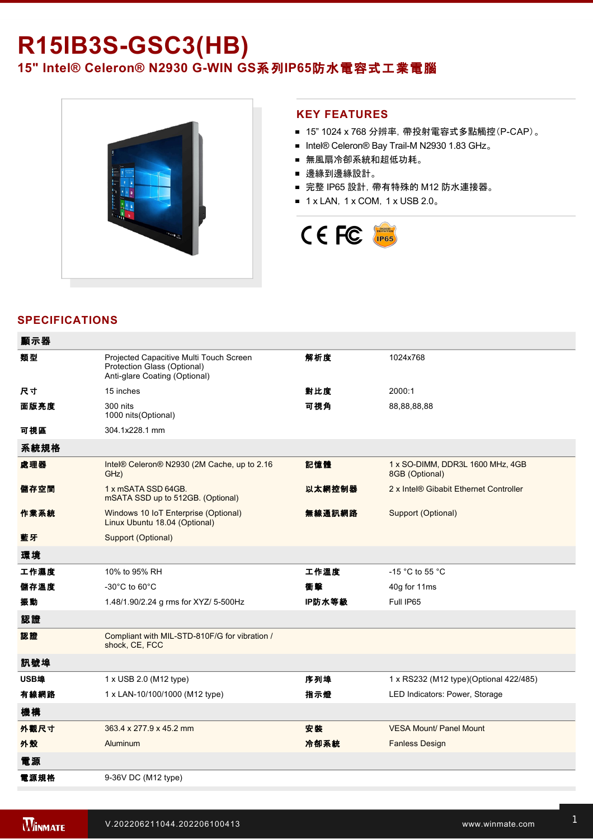# **R15IB3S-GSC3(HB)** 15" Intel® Celeron® N2930 G-WIN GS系列IP65防水電容式工業電腦



#### **KEY FEATURES**

- 15" 1024 x 768 分辨率, 帶投射電容式多點觸控(P-CAP)。
- Intel® Celeron® Bay Trail-M N2930 1.83 GHz。
- 無風扇冷卻系統和超低功耗。
- 邊緣到邊緣設計。
- 完整 IP65 設計, 帶有特殊的 M12 防水連接器。
- $\blacksquare$  1 x LAN, 1 x COM, 1 x USB 2.0。



## **SPECIFICATIONS**

| 顯示器  |                                                                                                         |        |                                                    |
|------|---------------------------------------------------------------------------------------------------------|--------|----------------------------------------------------|
| 類型   | Projected Capacitive Multi Touch Screen<br>Protection Glass (Optional)<br>Anti-glare Coating (Optional) | 解析度    | 1024x768                                           |
| 尺寸   | 15 inches                                                                                               | 對比度    | 2000:1                                             |
| 面版亮度 | 300 nits<br>1000 nits(Optional)                                                                         | 可視角    | 88,88,88,88                                        |
| 可視區  | 304.1x228.1 mm                                                                                          |        |                                                    |
| 系統規格 |                                                                                                         |        |                                                    |
| 處理器  | Intel® Celeron® N2930 (2M Cache, up to 2.16<br>GHz)                                                     | 記憶體    | 1 x SO-DIMM, DDR3L 1600 MHz, 4GB<br>8GB (Optional) |
| 儲存空間 | 1 x mSATA SSD 64GB.<br>mSATA SSD up to 512GB. (Optional)                                                | 以太網控制器 | 2 x Intel® Gibabit Ethernet Controller             |
| 作業系統 | Windows 10 IoT Enterprise (Optional)<br>Linux Ubuntu 18.04 (Optional)                                   | 無線通訊網路 | Support (Optional)                                 |
| 藍牙   | Support (Optional)                                                                                      |        |                                                    |
| 環境   |                                                                                                         |        |                                                    |
| 工作濕度 | 10% to 95% RH                                                                                           | 工作溫度   | -15 °C to 55 °C                                    |
| 儲存溫度 | $-30^{\circ}$ C to 60 $^{\circ}$ C                                                                      | 衝撃     | 40g for 11ms                                       |
| 振動   | 1.48/1.90/2.24 g rms for XYZ/ 5-500Hz                                                                   | IP防水等級 | Full IP65                                          |
| 認證   |                                                                                                         |        |                                                    |
| 認證   | Compliant with MIL-STD-810F/G for vibration /<br>shock, CE, FCC                                         |        |                                                    |
| 訊號埠  |                                                                                                         |        |                                                    |
| USB埠 | 1 x USB 2.0 (M12 type)                                                                                  | 序列埠    | 1 x RS232 (M12 type)(Optional 422/485)             |
| 有線網路 | 1 x LAN-10/100/1000 (M12 type)                                                                          | 指示燈    | LED Indicators: Power, Storage                     |
| 機構   |                                                                                                         |        |                                                    |
| 外觀尺寸 | 363.4 x 277.9 x 45.2 mm                                                                                 | 安装     | <b>VESA Mount/ Panel Mount</b>                     |
| 外殼   | Aluminum                                                                                                | 冷卻系統   | <b>Fanless Design</b>                              |
| 電源   |                                                                                                         |        |                                                    |
| 電源規格 | 9-36V DC (M12 type)                                                                                     |        |                                                    |
|      |                                                                                                         |        |                                                    |

配件

M12 Serial Interface Cable

配件 Quick Start Guide (Hardcopy)